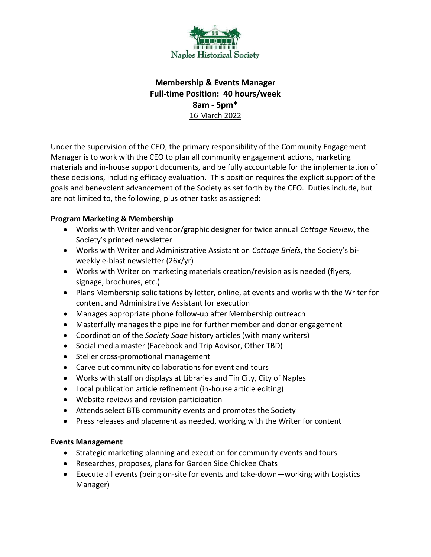

# **Membership & Events Manager Full-time Position: 40 hours/week 8am - 5pm\***  16 March 2022

Under the supervision of the CEO, the primary responsibility of the Community Engagement Manager is to work with the CEO to plan all community engagement actions, marketing materials and in-house support documents, and be fully accountable for the implementation of these decisions, including efficacy evaluation. This position requires the explicit support of the goals and benevolent advancement of the Society as set forth by the CEO. Duties include, but are not limited to, the following, plus other tasks as assigned:

## **Program Marketing & Membership**

- Works with Writer and vendor/graphic designer for twice annual *Cottage Review*, the Society's printed newsletter
- Works with Writer and Administrative Assistant on *Cottage Briefs*, the Society's biweekly e-blast newsletter (26x/yr)
- Works with Writer on marketing materials creation/revision as is needed (flyers, signage, brochures, etc.)
- Plans Membership solicitations by letter, online, at events and works with the Writer for content and Administrative Assistant for execution
- Manages appropriate phone follow-up after Membership outreach
- Masterfully manages the pipeline for further member and donor engagement
- Coordination of the *Society Sage* history articles (with many writers)
- Social media master (Facebook and Trip Advisor, Other TBD)
- Steller cross-promotional management
- Carve out community collaborations for event and tours
- Works with staff on displays at Libraries and Tin City, City of Naples
- Local publication article refinement (in-house article editing)
- Website reviews and revision participation
- Attends select BTB community events and promotes the Society
- Press releases and placement as needed, working with the Writer for content

## **Events Management**

- Strategic marketing planning and execution for community events and tours
- Researches, proposes, plans for Garden Side Chickee Chats
- Execute all events (being on-site for events and take-down—working with Logistics Manager)